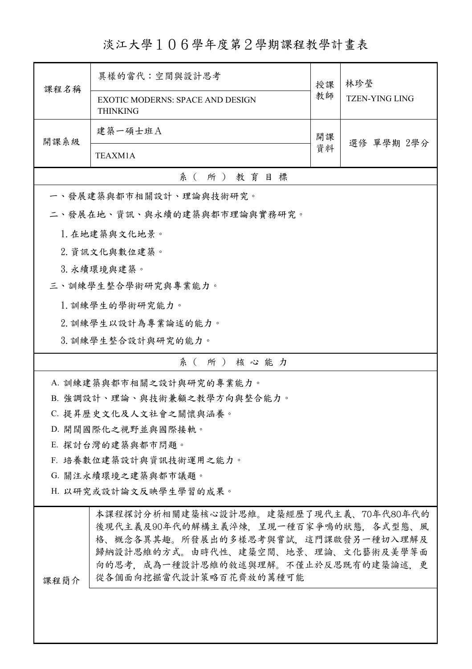## 淡江大學106學年度第2學期課程教學計畫表

| 課程名稱                   | 異樣的當代:空間與設計思考                                                                                                                                                                                                                | 授課 | 林珍瑩                   |  |  |
|------------------------|------------------------------------------------------------------------------------------------------------------------------------------------------------------------------------------------------------------------------|----|-----------------------|--|--|
|                        | <b>EXOTIC MODERNS: SPACE AND DESIGN</b><br><b>THINKING</b>                                                                                                                                                                   |    | <b>TZEN-YING LING</b> |  |  |
| 開課系級                   | 建築一碩士班A<br>開課                                                                                                                                                                                                                |    | 選修 單學期 2學分            |  |  |
|                        | TEAXM1A                                                                                                                                                                                                                      |    |                       |  |  |
|                        | 系(所)教育目標                                                                                                                                                                                                                     |    |                       |  |  |
|                        | 一、發展建築與都市相關設計、理論與技術研究。                                                                                                                                                                                                       |    |                       |  |  |
|                        | 二、發展在地、資訊、與永續的建築與都市理論與實務研究。                                                                                                                                                                                                  |    |                       |  |  |
|                        | 1. 在地建築與文化地景。                                                                                                                                                                                                                |    |                       |  |  |
|                        | 2. 資訊文化與數位建築。                                                                                                                                                                                                                |    |                       |  |  |
|                        | 3. 永續環境與建築。                                                                                                                                                                                                                  |    |                       |  |  |
|                        | 三、訓練學生整合學術研究與專業能力。                                                                                                                                                                                                           |    |                       |  |  |
|                        | 1. 訓練學生的學術研究能力。                                                                                                                                                                                                              |    |                       |  |  |
|                        | 2. 訓練學生以設計為專業論述的能力。                                                                                                                                                                                                          |    |                       |  |  |
|                        | 3. 訓練學生整合設計與研究的能力。                                                                                                                                                                                                           |    |                       |  |  |
|                        | 系(所)核心能力                                                                                                                                                                                                                     |    |                       |  |  |
|                        | A. 訓練建築與都市相關之設計與研究的專業能力。                                                                                                                                                                                                     |    |                       |  |  |
|                        | B. 強調設計、理論、與技術兼顧之教學方向與整合能力。                                                                                                                                                                                                  |    |                       |  |  |
|                        | C. 提昇歷史文化及人文社會之關懷與涵養。                                                                                                                                                                                                        |    |                       |  |  |
|                        | D. 開闊國際化之視野並與國際接軌。                                                                                                                                                                                                           |    |                       |  |  |
| E. 探討台灣的建築與都市問題。       |                                                                                                                                                                                                                              |    |                       |  |  |
| F. 培養數位建築設計與資訊技術運用之能力。 |                                                                                                                                                                                                                              |    |                       |  |  |
| G. 關注永續環境之建築與都市議題。     |                                                                                                                                                                                                                              |    |                       |  |  |
| H. 以研究或設計論文反映學生學習的成果。  |                                                                                                                                                                                                                              |    |                       |  |  |
| 课程簡介                   | 本課程探討分析相關建築核心設計思維。建築經歷了現代主義、70年代80年代的<br>後現代主義及90年代的解構主義淬煉,呈現一種百家爭鳴的狀態,各式型態、風<br>格、概念各異其趣。所發展出的多樣思考與嘗試,這門課啟發另一種切入理解及<br>歸納設計思維的方式。由時代性、建築空間、地景、理論、文化藝術及美學等面<br>向的思考,成為一種設計思維的敘述與理解。不僅止於反思既有的建築論述,更<br>從各個面向挖掘當代設計策略百花齊放的萬種可能 |    |                       |  |  |
|                        |                                                                                                                                                                                                                              |    |                       |  |  |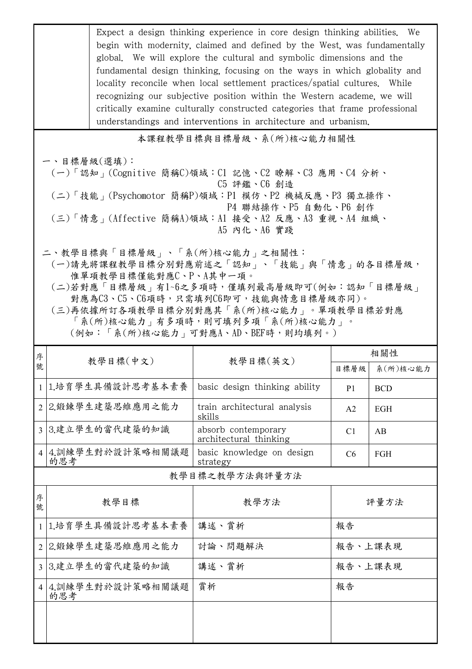|                          | Expect a design thinking experience in core design thinking abilities. We<br>begin with modernity, claimed and defined by the West, was fundamentally<br>global. We will explore the cultural and symbolic dimensions and the<br>fundamental design thinking, focusing on the ways in which globality and<br>locality reconcile when local settlement practices/spatial cultures. While<br>recognizing our subjective position within the Western academe, we will<br>critically examine culturally constructed categories that frame professional<br>understandings and interventions in architecture and urbanism. |                                               |                |               |  |  |
|--------------------------|----------------------------------------------------------------------------------------------------------------------------------------------------------------------------------------------------------------------------------------------------------------------------------------------------------------------------------------------------------------------------------------------------------------------------------------------------------------------------------------------------------------------------------------------------------------------------------------------------------------------|-----------------------------------------------|----------------|---------------|--|--|
| 本課程教學目標與目標層級、系(所)核心能力相關性 |                                                                                                                                                                                                                                                                                                                                                                                                                                                                                                                                                                                                                      |                                               |                |               |  |  |
|                          | 一、目標層級(選填):<br>(一)「認知」(Cognitive 簡稱C)領域:C1 記憶、C2 瞭解、C3 應用、C4 分析、<br>C5 評鑑、C6 創造<br>(二)「技能」(Psychomotor 簡稱P)領域:P1 模仿、P2 機械反應、P3 獨立操作、<br>P4 聯結操作、P5 自動化、P6 創作<br>(三)「情意」(Affective 簡稱A)領域:Al 接受、A2 反應、A3 重視、A4 組織、<br>A5 内化、A6 實踐                                                                                                                                                                                                                                                                                                                                                                                     |                                               |                |               |  |  |
|                          | 二、教學目標與「目標層級」、「系(所)核心能力」之相關性:<br>(一)請先將課程教學目標分別對應前述之「認知」、「技能」與「情意」的各目標層級,<br>惟單項教學目標僅能對應C、P、A其中一項。<br>(二)若對應「目標層級」有1~6之多項時,僅填列最高層級即可(例如:認知「目標層級」<br>對應為C3、C5、C6項時,只需填列C6即可,技能與情意目標層級亦同)。<br>(三)再依據所訂各項教學目標分別對應其「系(所)核心能力」。單項教學目標若對應<br>「系(所)核心能力 , 有多項時, 則可填列多項「系(所)核心能力」。<br>(例如:「系(所)核心能力﹔可對應A、AD、BEF時,則均填列。)                                                                                                                                                                                                                                                                                                      |                                               |                |               |  |  |
| 序                        | 教學目標(中文)                                                                                                                                                                                                                                                                                                                                                                                                                                                                                                                                                                                                             | 教學目標(英文)                                      |                | 相關性           |  |  |
| 號                        |                                                                                                                                                                                                                                                                                                                                                                                                                                                                                                                                                                                                                      |                                               |                | 目標層級 系(所)核心能力 |  |  |
|                          | 1 1.培育學生具備設計思考基本素養                                                                                                                                                                                                                                                                                                                                                                                                                                                                                                                                                                                                   | basic design thinking ability                 | P <sub>1</sub> | <b>BCD</b>    |  |  |
| $\overline{2}$           | 2.锻鍊學生建築思維應用之能力                                                                                                                                                                                                                                                                                                                                                                                                                                                                                                                                                                                                      | train architectural analysis<br>skills        | A2             | EGH           |  |  |
|                          | 3 3.建立學生的當代建築的知識                                                                                                                                                                                                                                                                                                                                                                                                                                                                                                                                                                                                     | absorb contemporary<br>architectural thinking | C <sub>1</sub> | AB            |  |  |
| $\overline{4}$           | 4.訓練學生對於設計策略相關議題<br>的思考                                                                                                                                                                                                                                                                                                                                                                                                                                                                                                                                                                                              | basic knowledge on design<br>strategy         | C <sub>6</sub> | FGH           |  |  |
| 教學目標之教學方法與評量方法           |                                                                                                                                                                                                                                                                                                                                                                                                                                                                                                                                                                                                                      |                                               |                |               |  |  |
| 序<br>號                   | 教學目標                                                                                                                                                                                                                                                                                                                                                                                                                                                                                                                                                                                                                 | 教學方法                                          | 評量方法           |               |  |  |
|                          | 1 1.培育學生具備設計思考基本素養                                                                                                                                                                                                                                                                                                                                                                                                                                                                                                                                                                                                   | 講述、賞析                                         | 報告             |               |  |  |
| $\overline{2}$           | 2.鍛鍊學生建築思維應用之能力                                                                                                                                                                                                                                                                                                                                                                                                                                                                                                                                                                                                      | 討論、問題解決                                       | 報告、上課表現        |               |  |  |
|                          | 3 3.建立學生的當代建築的知識                                                                                                                                                                                                                                                                                                                                                                                                                                                                                                                                                                                                     | 講述、賞析                                         | 報告、上課表現        |               |  |  |
| $\vert$ 4                | 4.訓練學生對於設計策略相關議題<br>的思考                                                                                                                                                                                                                                                                                                                                                                                                                                                                                                                                                                                              | 賞析                                            | 報告             |               |  |  |
|                          |                                                                                                                                                                                                                                                                                                                                                                                                                                                                                                                                                                                                                      |                                               |                |               |  |  |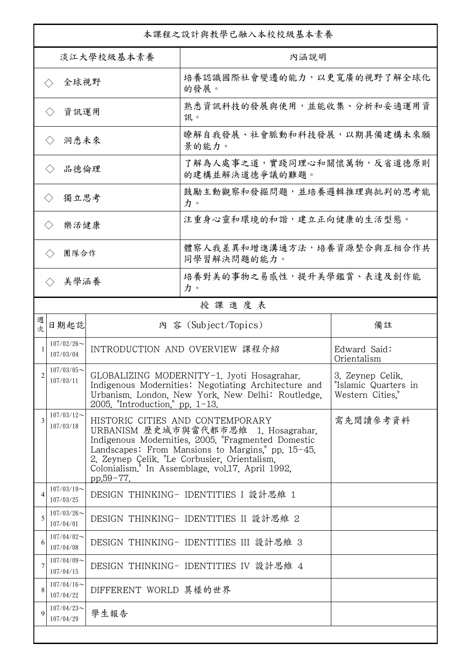| 本課程之設計與教學已融入本校校級基本素養        |                                                       |                                                                                                                                                                                                                                                                                                                             |                                              |                                                              |  |
|-----------------------------|-------------------------------------------------------|-----------------------------------------------------------------------------------------------------------------------------------------------------------------------------------------------------------------------------------------------------------------------------------------------------------------------------|----------------------------------------------|--------------------------------------------------------------|--|
| 淡江大學校級基本素養                  |                                                       |                                                                                                                                                                                                                                                                                                                             | 內涵說明                                         |                                                              |  |
| 全球視野<br>$\langle \ \rangle$ |                                                       |                                                                                                                                                                                                                                                                                                                             | 培養認識國際社會變遷的能力,以更寬廣的視野了解全球化<br>的發展。           |                                                              |  |
| 資訊運用<br>$\langle \ \rangle$ |                                                       |                                                                                                                                                                                                                                                                                                                             | 熟悉資訊科技的發展與使用,並能收集、分析和妥適運用資<br>訊。             |                                                              |  |
| 洞悉未來<br>$\langle \rangle$   |                                                       |                                                                                                                                                                                                                                                                                                                             | 瞭解自我發展、社會脈動和科技發展,以期具備建構未來願<br>景的能力。          |                                                              |  |
| 品德倫理<br>$\langle \ \rangle$ |                                                       |                                                                                                                                                                                                                                                                                                                             | 了解為人處事之道,實踐同理心和關懷萬物,反省道德原則<br>的建構並解決道德爭議的難題。 |                                                              |  |
| 獨立思考<br>$\langle \rangle$   |                                                       |                                                                                                                                                                                                                                                                                                                             | 鼓勵主動觀察和發掘問題,並培養邏輯推理與批判的思考能<br>力。             |                                                              |  |
|                             | 注重身心靈和環境的和諧,建立正向健康的生活型態。<br>樂活健康<br>$\langle \rangle$ |                                                                                                                                                                                                                                                                                                                             |                                              |                                                              |  |
| 團隊合作<br>$\langle \rangle$   |                                                       |                                                                                                                                                                                                                                                                                                                             | 體察人我差異和增進溝通方法,培養資源整合與互相合作共<br>同學習解決問題的能力。    |                                                              |  |
|                             | 美學涵養<br>$\langle \rangle$                             |                                                                                                                                                                                                                                                                                                                             | 培養對美的事物之易感性,提升美學鑑賞、表達及創作能<br>力。              |                                                              |  |
|                             |                                                       |                                                                                                                                                                                                                                                                                                                             | 授課進度表                                        |                                                              |  |
| 週<br>欤                      | 日期起訖                                                  |                                                                                                                                                                                                                                                                                                                             | 內 容 (Subject/Topics)                         | 備註                                                           |  |
|                             | $107/02/26$ ~<br>107/03/04                            |                                                                                                                                                                                                                                                                                                                             | INTRODUCTION AND OVERVIEW 課程介紹               | Edward Said:<br>Orientalism                                  |  |
| $\overline{2}$              | $107/03/05$ ~<br>107/03/11                            | GLOBALIZING MODERNITY-1. Jyoti Hosagrahar.<br>Indigenous Modernities: Negotiating Architecture and<br>Urbanism, London, New York, New Delhi: Routledge,<br>2005. "Introduction." pp. $1-13$ .                                                                                                                               |                                              | 3. Zeynep Celik,<br>"Islamic Quarters in<br>Western Cities." |  |
| 3                           | $107/03/12$ ~<br>107/03/18                            | HISTORIC CITIES AND CONTEMPORARY<br>需先閱讀參考資料<br>URBANISM 歷史城市與當代都市思維 1. Hosagrahar,<br>Indigenous Modernities, 2005. "Fragmented Domestic<br>Landscapes: From Mansions to Margins," pp. 15-45.<br>2. Zeynep Çelik. "Le Corbusier, Orientalism,<br>Colonialism. <sup>1</sup> In Assemblage, vol.17, April 1992,<br>pp.59-77. |                                              |                                                              |  |
| 4                           | $107/03/19$ ~<br>107/03/25                            |                                                                                                                                                                                                                                                                                                                             | DESIGN THINKING- IDENTITIES I 設計思維 1         |                                                              |  |
| 5                           | $107/03/26$ ~<br>107/04/01                            |                                                                                                                                                                                                                                                                                                                             | DESIGN THINKING- IDENTITIES II 設計思維 2        |                                                              |  |
| 6                           | $107/04/02$ ~<br>107/04/08                            |                                                                                                                                                                                                                                                                                                                             | DESIGN THINKING- IDENTITIES III 設計思維 3       |                                                              |  |
| 7                           | $107/04/09$ ~<br>107/04/15                            |                                                                                                                                                                                                                                                                                                                             | DESIGN THINKING- IDENTITIES IV 設計思維 4        |                                                              |  |
| 8                           | $107/04/16 \sim$<br>107/04/22                         | DIFFERENT WORLD 異樣的世界                                                                                                                                                                                                                                                                                                       |                                              |                                                              |  |
| 9                           | $107/04/23$ ~<br>107/04/29                            | 學生報告                                                                                                                                                                                                                                                                                                                        |                                              |                                                              |  |
|                             |                                                       |                                                                                                                                                                                                                                                                                                                             |                                              |                                                              |  |